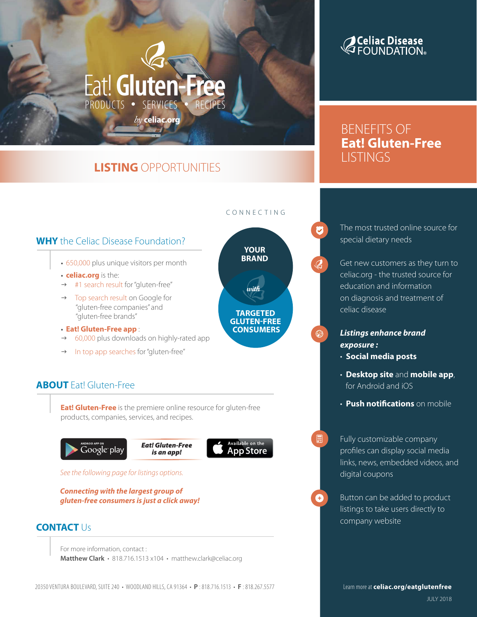# **LISTING** OPPORTUNITIES

PRODUCTS • SERVICES • RECIPES

*by* **celiac.org**

Eat!**Gluten-Free**

# **Celiac Disease**<br>GFOUNDATION®

BENEFITS OF **Eat! Gluten-Free LISTINGS** 

# **WHY** the Celiac Disease Foundation?

- 650,000 plus unique visitors per month
- **celiac.org** is the:
- $\rightarrow$  #1 search result for "gluten-free"
- Top search result on Google for "gluten-free companies" and "gluten-free brands"
- **Eat! Gluten-Free app** :
- $\rightarrow$  60,000 plus downloads on highly-rated app
- In top app searches for "gluten-free"

# **ABOUT** Eat! Gluten-Free

**Eat! Gluten-Free** is the premiere online resource for gluten-free products, companies, services, and recipes.



See the following page for listings options.

#### **Connecting with the largest group of gluten-free consumers is just a click away!**

## **CONTACT** Us

For more information, contact : **Matthew Clark** • 818.716.1513 x104 • matthew.clark@celiac.org

#### CONNECTING

Ø

⊕

目



The most trusted online source for special dietary needs

Get new customers as they turn to celiac.org - the trusted source for education and information on diagnosis and treatment of celiac disease

**Listings enhance brand exposure :**

- **Social media posts**
- **Desktop site** and **mobile app**, for Android and iOS
- **Push notifications** on mobile

Fully customizable company profiles can display social media links, news, embedded videos, and digital coupons

Button can be added to product listings to take users directly to company website